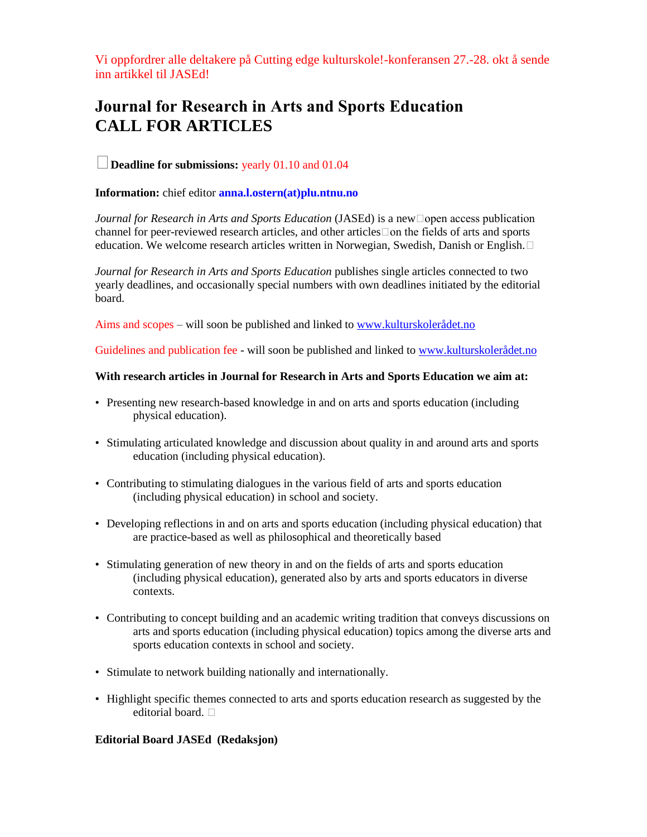Vi oppfordrer alle deltakere på Cutting edge kulturskole!-konferansen 27.-28. okt å sende inn artikkel til JASEd!

# Journal for Research in Arts and Sports Education **CALL FOR ARTICLES**

## **Deadline for submissions:** yearly 01.10 and 01.04

### **Information:** chief editor **anna.l.ostern(at)plu.ntnu.no**

*Journal for Research in Arts and Sports Education* (JASEd) is a new□open access publication channel for peer-reviewed research articles, and other articles  $\Box$  on the fields of arts and sports education. We welcome research articles written in Norwegian, Swedish, Danish or English.

*Journal for Research in Arts and Sports Education* publishes single articles connected to two yearly deadlines, and occasionally special numbers with own deadlines initiated by the editorial board.

Aims and scopes – will soon be published and linked to [www.kulturskolerådet.no](http://www.kulturskolerådet.no/)

Guidelines and publication fee - will soon be published and linked to [www.kulturskolerådet.no](http://www.kulturskolerådet.no/)

#### **With research articles in Journal for Research in Arts and Sports Education we aim at:**

- Presenting new research-based knowledge in and on arts and sports education (including physical education).
- Stimulating articulated knowledge and discussion about quality in and around arts and sports education (including physical education).
- Contributing to stimulating dialogues in the various field of arts and sports education (including physical education) in school and society.
- Developing reflections in and on arts and sports education (including physical education) that are practice-based as well as philosophical and theoretically based
- Stimulating generation of new theory in and on the fields of arts and sports education (including physical education), generated also by arts and sports educators in diverse contexts.
- Contributing to concept building and an academic writing tradition that conveys discussions on arts and sports education (including physical education) topics among the diverse arts and sports education contexts in school and society.
- Stimulate to network building nationally and internationally.
- Highlight specific themes connected to arts and sports education research as suggested by the editorial board.  $\Box$

#### **Editorial Board JASEd (Redaksjon)**